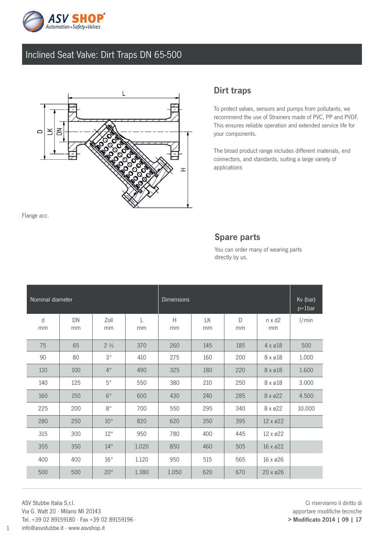

## Inclined Seat Valve: Dirt Traps DN 65-500



Flange acc.

### Dirt traps

To protect valves, sensors and pumps from pollutants, we recommend the use of Strainers made of PVC, PP and PVDF. This ensures reliable operation and extended service life for your components.

The broad product range includes different materials, end connectors, and standards, suiting a large variety of applications

#### Spare parts

You can order many of wearing parts directly by us.

| Nominal diameter |          |                    |         | Dimensions |          |                    |                     | Kv (bar)<br>$p=1$ bar |
|------------------|----------|--------------------|---------|------------|----------|--------------------|---------------------|-----------------------|
| d<br>mm          | DN<br>mm | Zoll<br>mm         | L<br>mm | H<br>mm    | LK<br>mm | $\mathsf{D}$<br>mm | $n \times d2$<br>mm | 1/min                 |
| 75               | 65       | $2\frac{1}{2}$     | 370     | 260        | 145      | 185                | $4 \times 018$      | 500                   |
| 90               | 80       | 3 <sup>u</sup>     | 410     | 275        | 160      | 200                | 8 x ø18             | 1.000                 |
| 110              | 100      | $4^{\prime\prime}$ | 490     | 325        | 180      | 220                | 8 x ø18             | 1.600                 |
| 140              | 125      | 5 <sup>u</sup>     | 550     | 380        | 210      | 250                | $8 \times 218$      | 3.000                 |
| 160              | 150      | 6 <sup>u</sup>     | 600     | 430        | 240      | 285                | $8 \times 22$       | 4.500                 |
| 225              | 200      | $8^u$              | 700     | 550        | 295      | 340                | 8 x ø22             | 10.000                |
| 280              | 250      | 10 <sup>u</sup>    | 820     | 620        | 350      | 395                | 12 x ø22            |                       |
| 315              | 300      | 12"                | 950     | 780        | 400      | 445                | 12 x ø22            |                       |
| 355              | 350      | 14"                | 1.020   | 850        | 460      | 505                | $16 \times 22$      |                       |
| 400              | 400      | 16"                | 1.120   | 950        | 515      | 565                | 16 x ø26            |                       |
| 500              | 500      | 20 <sup>u</sup>    | 1.380   | 1.050      | 620      | 670                | $20 \times 26$      |                       |

ASV Stubbe Italia S.r.l. Via G. Watt 20 · Milano MI 20143 Tel. +39 02 89159180 · Fax +39 02 89159196 · info@asvstubbe.it · www.asvshop.it